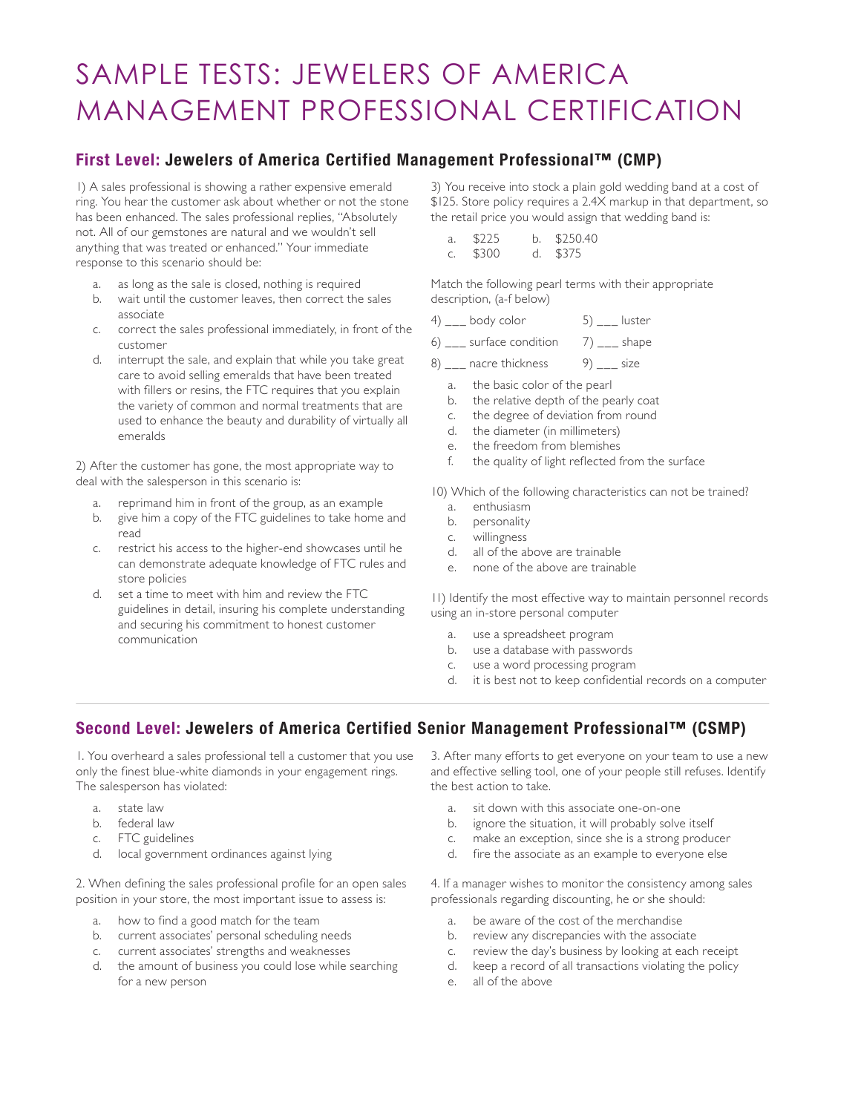## SAMPLE TESTS: JEWELERS OF AMERICA MANAGEMENT PROFESSIONAL CERTIFICATION

## **First Level: Jewelers of America Certified Management Professional™ (CMP)**

1) A sales professional is showing a rather expensive emerald ring. You hear the customer ask about whether or not the stone has been enhanced. The sales professional replies, "Absolutely not. All of our gemstones are natural and we wouldn't sell anything that was treated or enhanced." Your immediate response to this scenario should be:

- a. as long as the sale is closed, nothing is required
- b. wait until the customer leaves, then correct the sales associate
- c. correct the sales professional immediately, in front of the customer
- d. interrupt the sale, and explain that while you take great care to avoid selling emeralds that have been treated with fillers or resins, the FTC requires that you explain the variety of common and normal treatments that are used to enhance the beauty and durability of virtually all emeralds

2) After the customer has gone, the most appropriate way to deal with the salesperson in this scenario is:

- a. reprimand him in front of the group, as an example
- b. give him a copy of the FTC guidelines to take home and read
- c. restrict his access to the higher-end showcases until he can demonstrate adequate knowledge of FTC rules and store policies
- d. set a time to meet with him and review the FTC guidelines in detail, insuring his complete understanding and securing his commitment to honest customer communication

3) You receive into stock a plain gold wedding band at a cost of \$125. Store policy requires a 2.4X markup in that department, so the retail price you would assign that wedding band is:

| a. | \$225 | b. $$250,40$ |
|----|-------|--------------|
| C. | \$300 | d. \$375     |

Match the following pearl terms with their appropriate description, (a-f below)

| 4)<br>body color<br>luster |
|----------------------------|
|----------------------------|

6)  $\frac{1}{2}$  surface condition 7)  $\frac{1}{2}$  shape

- 8) nacre thickness 9) size
	- a. the basic color of the pearl
	- b. the relative depth of the pearly coat
	- c. the degree of deviation from round
	- d. the diameter (in millimeters)
	- e. the freedom from blemishes
	- f. the quality of light reflected from the surface

10) Which of the following characteristics can not be trained?

- a. enthusiasm
- b. personality
- c. willingness
- d. all of the above are trainable
- e. none of the above are trainable

11) Identify the most effective way to maintain personnel records using an in-store personal computer

- a. use a spreadsheet program
- b. use a database with passwords
- c. use a word processing program
- d. it is best not to keep confidential records on a computer

## **Second Level: Jewelers of America Certified Senior Management Professional™ (CSMP)**

1. You overheard a sales professional tell a customer that you use only the finest blue-white diamonds in your engagement rings. The salesperson has violated:

- a. state law
- b. federal law
- c. FTC guidelines
- d. local government ordinances against lying

2. When defining the sales professional profile for an open sales position in your store, the most important issue to assess is:

- a. how to find a good match for the team
- b. current associates' personal scheduling needs
- c. current associates' strengths and weaknesses
- d. the amount of business you could lose while searching for a new person

3. After many efforts to get everyone on your team to use a new and effective selling tool, one of your people still refuses. Identify the best action to take.

- a. sit down with this associate one-on-one
- b. ignore the situation, it will probably solve itself
- c. make an exception, since she is a strong producer
- d. fire the associate as an example to everyone else

4. If a manager wishes to monitor the consistency among sales professionals regarding discounting, he or she should:

- a. be aware of the cost of the merchandise
- b. review any discrepancies with the associate
- c. review the day's business by looking at each receipt
- d. keep a record of all transactions violating the policy
- e. all of the above